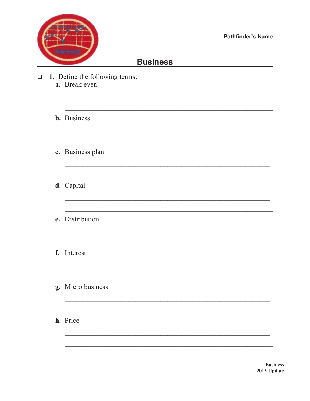

## **Business**

- 1. Define the following terms:  $\Box$ a. Break even
	- **b.** Business
	- c. Business plan
	- d. Capital
	- e. Distribution
	- f. Interest
	- g. Micro business
	- h. Price

**Business** 2015 Update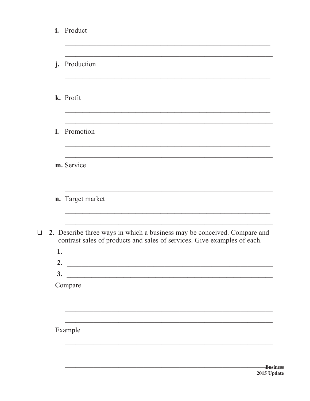|                | i. Product                                                                                                                                           |
|----------------|------------------------------------------------------------------------------------------------------------------------------------------------------|
| $\mathbf{j}$ . | Production                                                                                                                                           |
|                | k. Profit                                                                                                                                            |
| $\mathbf{l}$ . | Promotion                                                                                                                                            |
|                | m. Service                                                                                                                                           |
|                | n. Target market                                                                                                                                     |
| 1.             | 2. Describe three ways in which a business may be conceived. Compare and<br>contrast sales of products and sales of services. Give examples of each. |
| 2.             |                                                                                                                                                      |
| 3.             | Compare                                                                                                                                              |
|                |                                                                                                                                                      |
|                | Example                                                                                                                                              |
|                | Ru.                                                                                                                                                  |

 $\Box$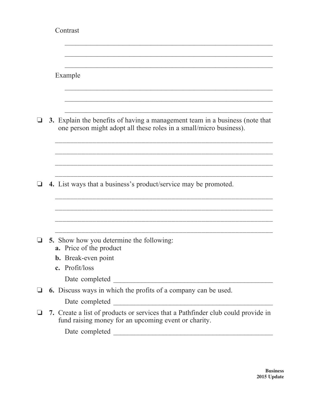|              | Contrast                                                                                                                                           |
|--------------|----------------------------------------------------------------------------------------------------------------------------------------------------|
|              | Example                                                                                                                                            |
|              | 3. Explain the benefits of having a management team in a business (note that<br>one person might adopt all these roles in a small/micro business). |
|              | 4. List ways that a business's product/service may be promoted.                                                                                    |
|              |                                                                                                                                                    |
| $\mathbf{I}$ | 5. Show how you determine the following:<br><b>a.</b> Price of the product<br><b>b.</b> Break-even point<br>c. Profit/loss                         |
|              | 6. Discuss ways in which the profits of a company can be used.                                                                                     |
|              | 7. Create a list of products or services that a Pathfinder club could provide in<br>fund raising money for an upcoming event or charity.           |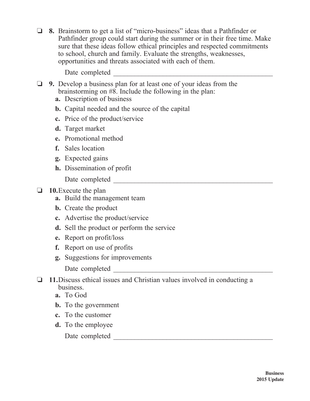o **8.** Brainstorm to get a list of "micro-business" ideas that a Pathfinder or Pathfinder group could start during the summer or in their free time. Make sure that these ideas follow ethical principles and respected commitments to school, church and family. Evaluate the strengths, weaknesses, opportunities and threats associated with each of them.

Date completed \_\_\_\_\_\_\_\_\_\_\_\_\_\_\_\_\_\_\_\_\_\_\_\_\_\_\_\_\_\_\_\_\_\_\_\_\_\_\_\_\_\_\_\_\_

- **1** 9. Develop a business plan for at least one of your ideas from the brainstorming on #8. Include the following in the plan:
	- **a.** Description of business
	- **b.** Capital needed and the source of the capital
	- **c.** Price of the product/service
	- **d.** Target market
	- **e.** Promotional method
	- **f.** Sales location
	- **g.** Expected gains
	- **h.** Dissemination of profit

Date completed  $\qquad \qquad \qquad$ 

## **10.**Execute the plan

- **a.** Build the management team
- **b.** Create the product
- **c.** Advertise the product/service
- **d.** Sell the product or perform the service
- **e.** Report on profit/loss
- **f.** Report on use of profits
- **g.** Suggestions for improvements
	- Date completed \_\_\_\_\_\_\_\_\_\_\_\_\_\_\_\_\_\_\_\_\_\_\_\_\_\_\_\_\_\_\_\_\_\_\_\_\_\_\_\_\_\_\_\_\_
- o **11.**Discuss ethical issues and Christian values involved in conducting a business.
	- **a.** To God
	- **b.** To the government
	- **c.** To the customer
	- **d.** To the employee

Date completed \_\_\_\_\_\_\_\_\_\_\_\_\_\_\_\_\_\_\_\_\_\_\_\_\_\_\_\_\_\_\_\_\_\_\_\_\_\_\_\_\_\_\_\_\_